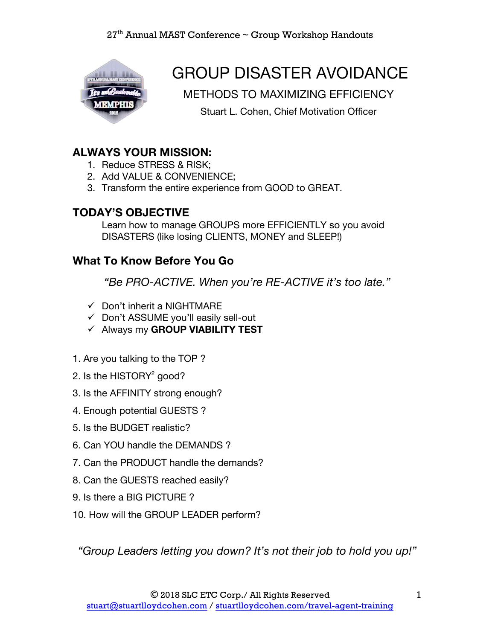

# GROUP DISASTER AVOIDANCE

METHODS TO MAXIMIZING EFFICIENCY

Stuart L. Cohen, Chief Motivation Officer

### **ALWAYS YOUR MISSION:**

- 1. Reduce STRESS & RISK;
- 2. Add VALUE & CONVENIENCE;
- 3. Transform the entire experience from GOOD to GREAT.

#### **TODAY'S OBJECTIVE**

Learn how to manage GROUPS more EFFICIENTLY so you avoid DISASTERS (like losing CLIENTS, MONEY and SLEEP!)

### **What To Know Before You Go**

*"Be PRO-ACTIVE. When you're RE-ACTIVE it's too late."*

- $\checkmark$  Don't inherit a NIGHTMARE
- $\checkmark$  Don't ASSUME you'll easily sell-out
- ü Always my **GROUP VIABILITY TEST**
- 1. Are you talking to the TOP ?
- 2. Is the HISTORY $2$  good?
- 3. Is the AFFINITY strong enough?
- 4. Enough potential GUESTS ?
- 5. Is the BUDGET realistic?
- 6. Can YOU handle the DEMANDS ?
- 7. Can the PRODUCT handle the demands?
- 8. Can the GUESTS reached easily?
- 9. Is there a BIG PICTURE ?
- 10. How will the GROUP LEADER perform?

*"Group Leaders letting you down? It's not their job to hold you up!"*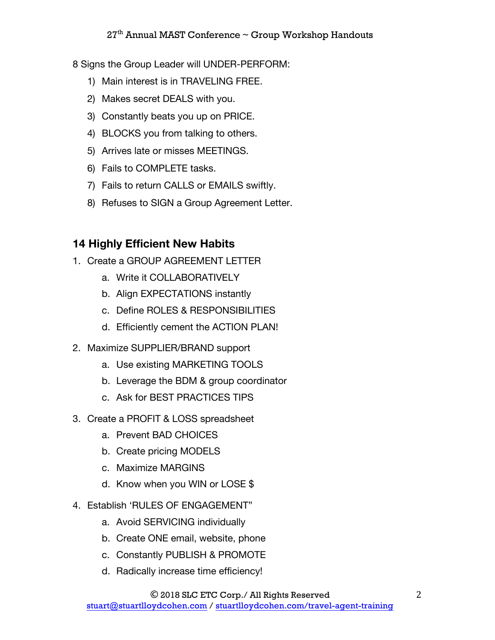8 Signs the Group Leader will UNDER-PERFORM:

- 1) Main interest is in TRAVELING FREE.
- 2) Makes secret DEALS with you.
- 3) Constantly beats you up on PRICE.
- 4) BLOCKS you from talking to others.
- 5) Arrives late or misses MEETINGS.
- 6) Fails to COMPLETE tasks.
- 7) Fails to return CALLS or EMAILS swiftly.
- 8) Refuses to SIGN a Group Agreement Letter.

### **14 Highly Efficient New Habits**

- 1. Create a GROUP AGREEMENT LETTER
	- a. Write it COLLABORATIVELY
	- b. Align EXPECTATIONS instantly
	- c. Define ROLES & RESPONSIBILITIES
	- d. Efficiently cement the ACTION PLAN!
- 2. Maximize SUPPLIER/BRAND support
	- a. Use existing MARKETING TOOLS
	- b. Leverage the BDM & group coordinator
	- c. Ask for BEST PRACTICES TIPS
- 3. Create a PROFIT & LOSS spreadsheet
	- a. Prevent BAD CHOICES
	- b. Create pricing MODELS
	- c. Maximize MARGINS
	- d. Know when you WIN or LOSE \$
- 4. Establish 'RULES OF ENGAGEMENT"
	- a. Avoid SERVICING individually
	- b. Create ONE email, website, phone
	- c. Constantly PUBLISH & PROMOTE
	- d. Radically increase time efficiency!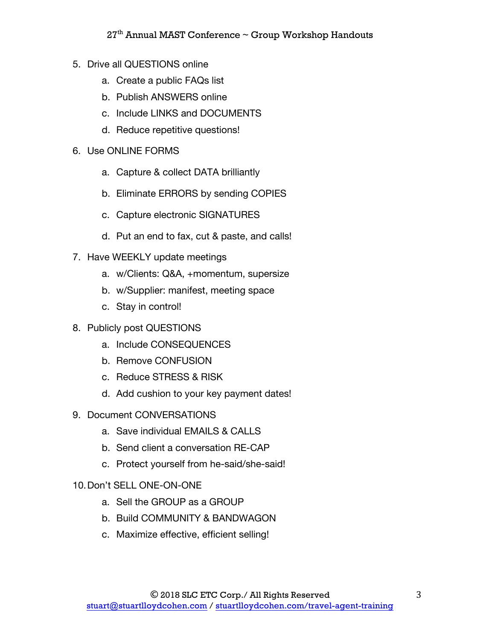- 5. Drive all QUESTIONS online
	- a. Create a public FAQs list
	- b. Publish ANSWERS online
	- c. Include LINKS and DOCUMENTS
	- d. Reduce repetitive questions!
- 6. Use ONLINE FORMS
	- a. Capture & collect DATA brilliantly
	- b. Eliminate ERRORS by sending COPIES
	- c. Capture electronic SIGNATURES
	- d. Put an end to fax, cut & paste, and calls!
- 7. Have WEEKLY update meetings
	- a. w/Clients: Q&A, +momentum, supersize
	- b. w/Supplier: manifest, meeting space
	- c. Stay in control!
- 8. Publicly post QUESTIONS
	- a. Include CONSEQUENCES
	- b. Remove CONFUSION
	- c. Reduce STRESS & RISK
	- d. Add cushion to your key payment dates!
- 9. Document CONVERSATIONS
	- a. Save individual EMAILS & CALLS
	- b. Send client a conversation RE-CAP
	- c. Protect yourself from he-said/she-said!
- 10.Don't SELL ONE-ON-ONE
	- a. Sell the GROUP as a GROUP
	- b. Build COMMUNITY & BANDWAGON
	- c. Maximize effective, efficient selling!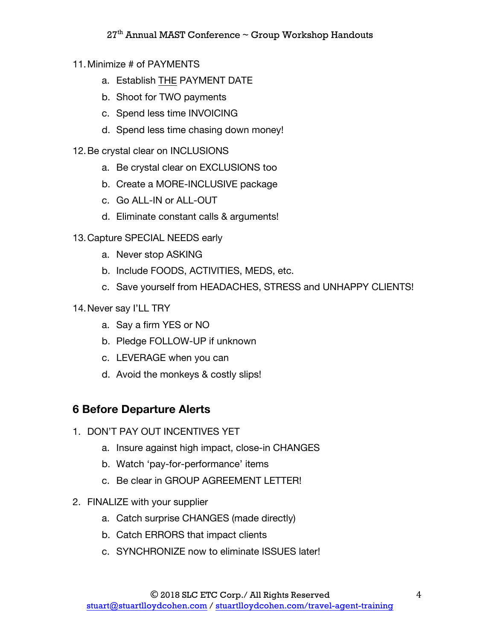- 11.Minimize # of PAYMENTS
	- a. Establish THE PAYMENT DATE
	- b. Shoot for TWO payments
	- c. Spend less time INVOICING
	- d. Spend less time chasing down money!
- 12.Be crystal clear on INCLUSIONS
	- a. Be crystal clear on EXCLUSIONS too
	- b. Create a MORE-INCLUSIVE package
	- c. Go ALL-IN or ALL-OUT
	- d. Eliminate constant calls & arguments!
- 13.Capture SPECIAL NEEDS early
	- a. Never stop ASKING
	- b. Include FOODS, ACTIVITIES, MEDS, etc.
	- c. Save yourself from HEADACHES, STRESS and UNHAPPY CLIENTS!
- 14.Never say I'LL TRY
	- a. Say a firm YES or NO
	- b. Pledge FOLLOW-UP if unknown
	- c. LEVERAGE when you can
	- d. Avoid the monkeys & costly slips!

### **6 Before Departure Alerts**

- 1. DON'T PAY OUT INCENTIVES YET
	- a. Insure against high impact, close-in CHANGES
	- b. Watch 'pay-for-performance' items
	- c. Be clear in GROUP AGREEMENT LETTER!
- 2. FINALIZE with your supplier
	- a. Catch surprise CHANGES (made directly)
	- b. Catch ERRORS that impact clients
	- c. SYNCHRONIZE now to eliminate ISSUES later!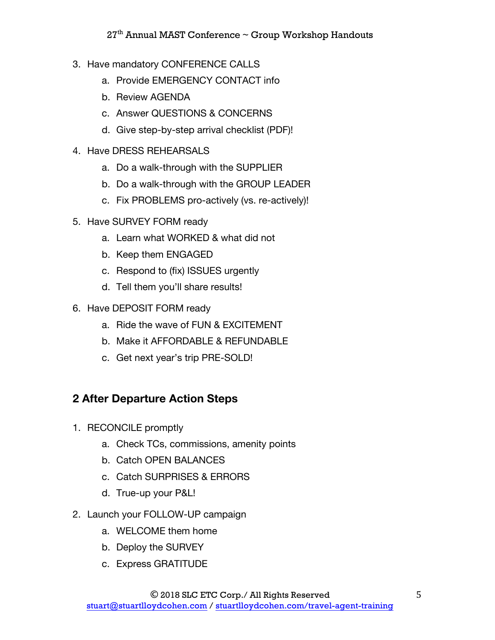- 3. Have mandatory CONFERENCE CALLS
	- a. Provide EMERGENCY CONTACT info
	- b. Review AGENDA
	- c. Answer QUESTIONS & CONCERNS
	- d. Give step-by-step arrival checklist (PDF)!
- 4. Have DRESS REHEARSALS
	- a. Do a walk-through with the SUPPLIER
	- b. Do a walk-through with the GROUP LEADER
	- c. Fix PROBLEMS pro-actively (vs. re-actively)!
- 5. Have SURVEY FORM ready
	- a. Learn what WORKED & what did not
	- b. Keep them ENGAGED
	- c. Respond to (fix) ISSUES urgently
	- d. Tell them you'll share results!
- 6. Have DEPOSIT FORM ready
	- a. Ride the wave of FUN & EXCITEMENT
	- b. Make it AFFORDABLE & REFUNDABLE
	- c. Get next year's trip PRE-SOLD!

### **2 After Departure Action Steps**

- 1. RECONCILE promptly
	- a. Check TCs, commissions, amenity points
	- b. Catch OPEN BALANCES
	- c. Catch SURPRISES & ERRORS
	- d. True-up your P&L!
- 2. Launch your FOLLOW-UP campaign
	- a. WELCOME them home
	- b. Deploy the SURVEY
	- c. Express GRATITUDE